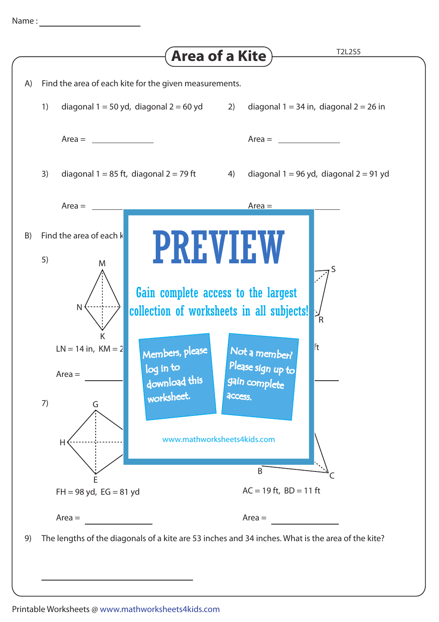